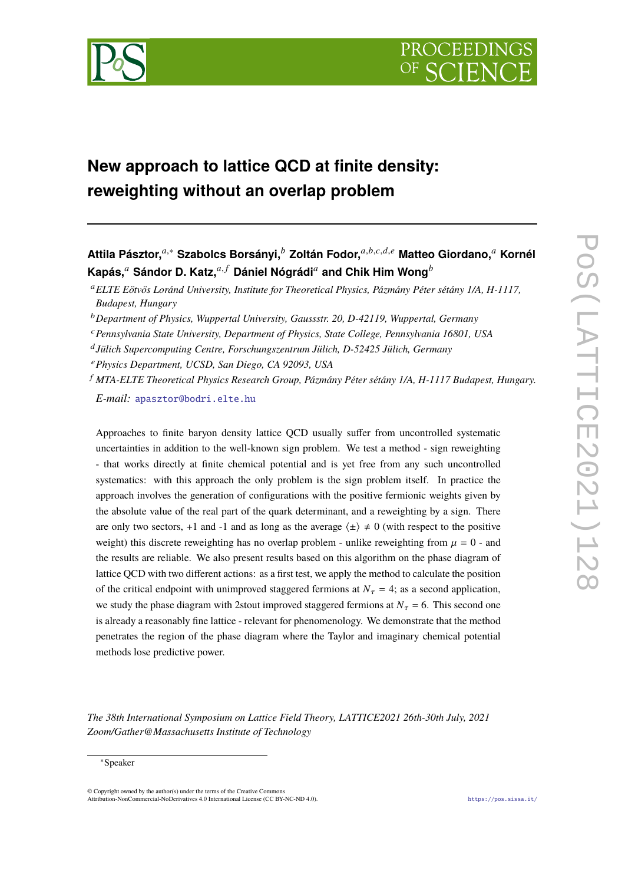

# **New approach to lattice QCD at finite density: reweighting without an overlap problem**

**Attila Pásztor,**𝑎,<sup>∗</sup> **Szabolcs Borsányi,**<sup>𝑏</sup> **Zoltán Fodor,**𝑎,𝑏,𝑐,𝑑,𝑒 **Matteo Giordano,**<sup>𝑎</sup> **Kornél Kapás,**<sup>*a*</sup> Sándor D. Katz,<sup>*a,f*</sup> Dániel Nógrádi<sup>*a*</sup> and Chik Him Wong<sup>*b*</sup>

- <sup>𝑒</sup>*Physics Department, UCSD, San Diego, CA 92093, USA*
- <sup>𝑓</sup> *MTA-ELTE Theoretical Physics Research Group, Pázmány Péter sétány 1/A, H-1117 Budapest, Hungary. E-mail:* [apasztor@bodri.elte.hu](mailto:apasztor@bodri.elte.hu)

Approaches to finite baryon density lattice QCD usually suffer from uncontrolled systematic uncertainties in addition to the well-known sign problem. We test a method - sign reweighting - that works directly at finite chemical potential and is yet free from any such uncontrolled systematics: with this approach the only problem is the sign problem itself. In practice the approach involves the generation of configurations with the positive fermionic weights given by the absolute value of the real part of the quark determinant, and a reweighting by a sign. There are only two sectors, +1 and -1 and as long as the average  $\langle \pm \rangle \neq 0$  (with respect to the positive weight) this discrete reweighting has no overlap problem - unlike reweighting from  $\mu = 0$  - and the results are reliable. We also present results based on this algorithm on the phase diagram of lattice QCD with two different actions: as a first test, we apply the method to calculate the position of the critical endpoint with unimproved staggered fermions at  $N_{\tau} = 4$ ; as a second application, we study the phase diagram with 2stout improved staggered fermions at  $N_{\tau} = 6$ . This second one is already a reasonably fine lattice - relevant for phenomenology. We demonstrate that the method penetrates the region of the phase diagram where the Taylor and imaginary chemical potential methods lose predictive power.

*The 38th International Symposium on Lattice Field Theory, LATTICE2021 26th-30th July, 2021 Zoom/Gather@Massachusetts Institute of Technology*

<sup>𝑎</sup>*ELTE Eötvös Loránd University, Institute for Theoretical Physics, Pázmány Péter sétány 1/A, H-1117, Budapest, Hungary*

<sup>&</sup>lt;sup>*b*</sup> Department of Physics, Wuppertal University, Gaussstr. 20, D-42119, Wuppertal, Germany

<sup>𝑐</sup>*Pennsylvania State University, Department of Physics, State College, Pennsylvania 16801, USA*

𝑑 *Jülich Supercomputing Centre, Forschungszentrum Jülich, D-52425 Jülich, Germany*

<sup>∗</sup>Speaker

 $\odot$  Copyright owned by the author(s) under the terms of the Creative Common Attribution-NonCommercial-NoDerivatives 4.0 International License (CC BY-NC-ND 4.0). <https://pos.sissa.it/>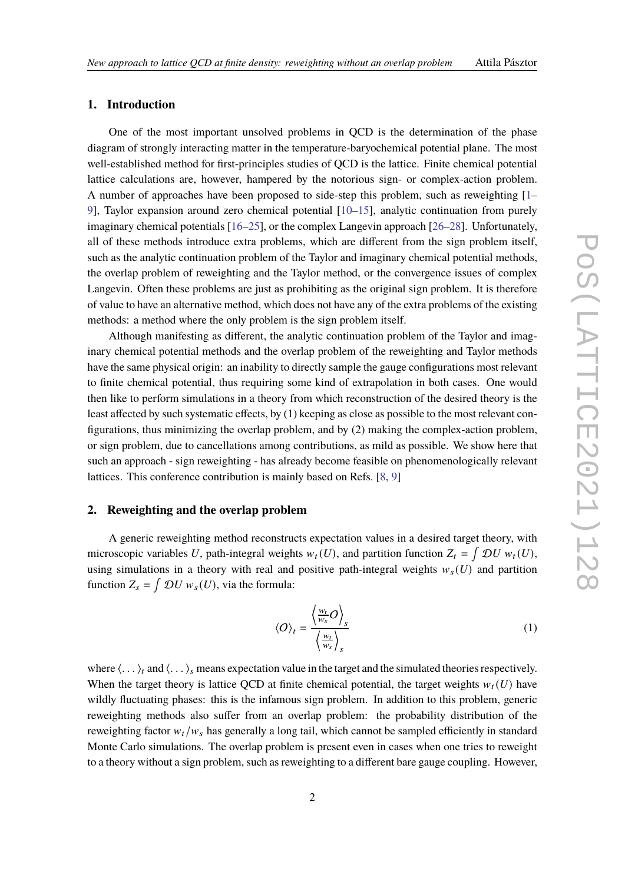# **1. Introduction**

One of the most important unsolved problems in QCD is the determination of the phase diagram of strongly interacting matter in the temperature-baryochemical potential plane. The most well-established method for first-principles studies of QCD is the lattice. Finite chemical potential lattice calculations are, however, hampered by the notorious sign- or complex-action problem. A number of approaches have been proposed to side-step this problem, such as reweighting [\[1–](#page-7-0) [9\]](#page-7-1), Taylor expansion around zero chemical potential [\[10–](#page-7-2)[15\]](#page-7-3), analytic continuation from purely imaginary chemical potentials [\[16–](#page-8-0)[25\]](#page-8-1), or the complex Langevin approach [\[26](#page-8-2)[–28\]](#page-8-3). Unfortunately, all of these methods introduce extra problems, which are different from the sign problem itself, such as the analytic continuation problem of the Taylor and imaginary chemical potential methods, the overlap problem of reweighting and the Taylor method, or the convergence issues of complex Langevin. Often these problems are just as prohibiting as the original sign problem. It is therefore of value to have an alternative method, which does not have any of the extra problems of the existing methods: a method where the only problem is the sign problem itself.

Although manifesting as different, the analytic continuation problem of the Taylor and imaginary chemical potential methods and the overlap problem of the reweighting and Taylor methods have the same physical origin: an inability to directly sample the gauge configurations most relevant to finite chemical potential, thus requiring some kind of extrapolation in both cases. One would then like to perform simulations in a theory from which reconstruction of the desired theory is the least affected by such systematic effects, by (1) keeping as close as possible to the most relevant configurations, thus minimizing the overlap problem, and by (2) making the complex-action problem, or sign problem, due to cancellations among contributions, as mild as possible. We show here that such an approach - sign reweighting - has already become feasible on phenomenologically relevant lattices. This conference contribution is mainly based on Refs. [\[8,](#page-7-4) [9\]](#page-7-1)

# **2. Reweighting and the overlap problem**

A generic reweighting method reconstructs expectation values in a desired target theory, with microscopic variables U, path-integral weights  $w_t(U)$ , and partition function  $Z_t = \int \mathcal{D}U w_t(U)$ , using simulations in a theory with real and positive path-integral weights  $w_s(U)$  and partition function  $Z_s = \int \mathcal{D}U w_s(U)$ , via the formula:

$$
\langle O \rangle_t = \frac{\left\langle \frac{w_t}{w_s} O \right\rangle_s}{\left\langle \frac{w_t}{w_s} \right\rangle_s} \tag{1}
$$

where  $\langle \ldots \rangle_t$  and  $\langle \ldots \rangle_s$  means expectation value in the target and the simulated theories respectively. When the target theory is lattice QCD at finite chemical potential, the target weights  $w_t(U)$  have wildly fluctuating phases: this is the infamous sign problem. In addition to this problem, generic reweighting methods also suffer from an overlap problem: the probability distribution of the reweighting factor  $w_t/w_s$  has generally a long tail, which cannot be sampled efficiently in standard Monte Carlo simulations. The overlap problem is present even in cases when one tries to reweight to a theory without a sign problem, such as reweighting to a different bare gauge coupling. However,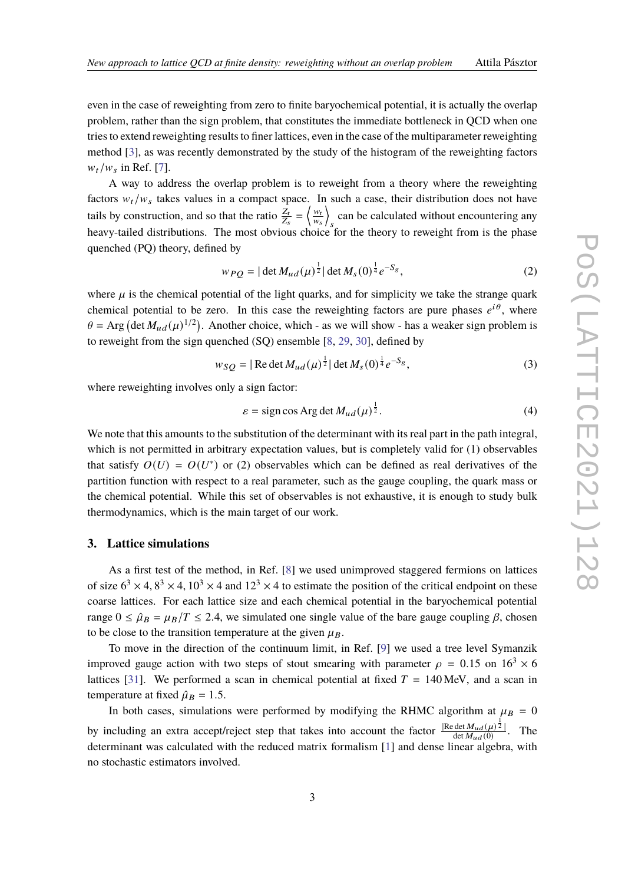even in the case of reweighting from zero to finite baryochemical potential, it is actually the overlap problem, rather than the sign problem, that constitutes the immediate bottleneck in QCD when one tries to extend reweighting results to finer lattices, even in the case of the multiparameter reweighting method [\[3\]](#page-7-5), as was recently demonstrated by the study of the histogram of the reweighting factors  $w_t/w_s$  in Ref. [\[7\]](#page-7-6).

A way to address the overlap problem is to reweight from a theory where the reweighting factors  $w_t/w_s$  takes values in a compact space. In such a case, their distribution does not have tails by construction, and so that the ratio  $\frac{Z_t}{Z_s} = \left\langle \frac{w_t}{w_s} \right\rangle$  $\frac{w_t}{w_s}$ can be calculated without encountering any heavy-tailed distributions. The most obvious choice for the theory to reweight from is the phase quenched (PQ) theory, defined by

$$
w_{PO} = |\det M_{ud}(\mu)^{\frac{1}{2}}| \det M_s(0)^{\frac{1}{4}} e^{-S_g},
$$
\n(2)

where  $\mu$  is the chemical potential of the light quarks, and for simplicity we take the strange quark chemical potential to be zero. In this case the reweighting factors are pure phases  $e^{i\theta}$ , where  $\theta = \text{Arg}$  (det  $M_{ud}(\mu)^{1/2}$ ). Another choice, which - as we will show - has a weaker sign problem is to reweight from the sign quenched (SQ) ensemble [\[8,](#page-7-4) [29,](#page-8-4) [30\]](#page-8-5), defined by

$$
w_{SO} = |\operatorname{Re} \det M_{ud}(\mu)^{\frac{1}{2}}| \det M_s(0)^{\frac{1}{4}} e^{-S_g}, \tag{3}
$$

where reweighting involves only a sign factor:

$$
\varepsilon = \text{sign}\cos\text{Arg}\det M_{ud}(\mu)^{\frac{1}{2}}.
$$
 (4)

We note that this amounts to the substitution of the determinant with its real part in the path integral, which is not permitted in arbitrary expectation values, but is completely valid for (1) observables that satisfy  $O(U) = O(U^*)$  or (2) observables which can be defined as real derivatives of the partition function with respect to a real parameter, such as the gauge coupling, the quark mass or the chemical potential. While this set of observables is not exhaustive, it is enough to study bulk thermodynamics, which is the main target of our work.

## **3. Lattice simulations**

As a first test of the method, in Ref. [\[8\]](#page-7-4) we used unimproved staggered fermions on lattices of size  $6^3 \times 4$ ,  $8^3 \times 4$ ,  $10^3 \times 4$  and  $12^3 \times 4$  to estimate the position of the critical endpoint on these coarse lattices. For each lattice size and each chemical potential in the baryochemical potential range  $0 \le \hat{\mu}_B = \mu_B/T \le 2.4$ , we simulated one single value of the bare gauge coupling  $\beta$ , chosen to be close to the transition temperature at the given  $\mu_B$ .

To move in the direction of the continuum limit, in Ref. [\[9\]](#page-7-1) we used a tree level Symanzik improved gauge action with two steps of stout smearing with parameter  $\rho = 0.15$  on  $16<sup>3</sup> \times 6$ lattices [\[31\]](#page-8-6). We performed a scan in chemical potential at fixed  $T = 140$  MeV, and a scan in temperature at fixed  $\hat{\mu}_B = 1.5$ .

In both cases, simulations were performed by modifying the RHMC algorithm at  $\mu_B = 0$ by including an extra accept/reject step that takes into account the factor  $\frac{|\text{Re det }M_{ud}(\mu)^{\frac{1}{2}}|}{\det M_{ud}(0)}$ . The determinant was calculated with the reduced matrix formalism [\[1\]](#page-7-0) and dense linear algebra, with no stochastic estimators involved.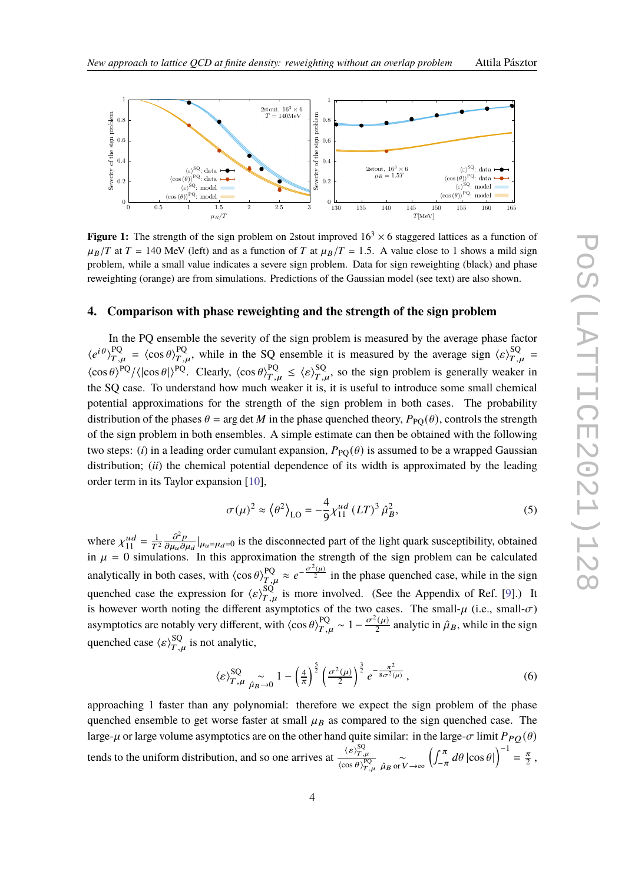

<span id="page-3-0"></span>

**Figure 1:** The strength of the sign problem on 2stout improved  $16<sup>3</sup> \times 6$  staggered lattices as a function of  $\mu_B/T$  at  $T = 140$  MeV (left) and as a function of T at  $\mu_B/T = 1.5$ . A value close to 1 shows a mild sign problem, while a small value indicates a severe sign problem. Data for sign reweighting (black) and phase reweighting (orange) are from simulations. Predictions of the Gaussian model (see text) are also shown.

#### **4. Comparison with phase reweighting and the strength of the sign problem**

In the PQ ensemble the severity of the sign problem is measured by the average phase factor  $\langle e^{i\theta} \rangle_{T,u}^{PQ} = \langle \cos \theta \rangle_{T,u}^{PQ}$ , while in the SQ ensemble it is measured by the average sign  $\langle \epsilon \rangle_{T,u}^{SQ}$  $\langle \cos \theta \rangle^{\text{PQ}} / \langle \vert \cos \theta \vert \rangle^{\text{PQ}}$ . Clearly,  $\langle \cos \theta \rangle^{\text{PQ}}_{T,u} \leq \langle \varepsilon \rangle^{\text{SQ}}_{T,u}$ , so the sign problem is generally weaker in the SQ case. To understand how much weaker it is, it is useful to introduce some small chemical potential approximations for the strength of the sign problem in both cases. The probability distribution of the phases  $\theta = \arg \det M$  in the phase quenched theory,  $P_{\text{PO}}(\theta)$ , controls the strength of the sign problem in both ensembles. A simple estimate can then be obtained with the following two steps: (*i*) in a leading order cumulant expansion,  $P_{PQ}(\theta)$  is assumed to be a wrapped Gaussian distribution; (*ii*) the chemical potential dependence of its width is approximated by the leading order term in its Taylor expansion [\[10\]](#page-7-2),

$$
\sigma(\mu)^2 \approx \left\langle \theta^2 \right\rangle_{\text{LO}} = -\frac{4}{9} \chi_{11}^{ud} (LT)^3 \hat{\mu}_B^2,
$$
\n(5)

where  $\chi_{11}^{ud} = \frac{1}{T^2}$  $\partial^2 v$  $\frac{\partial^2 p}{\partial \mu_u \partial \mu_d} |_{\mu_u = \mu_d = 0}$  is the disconnected part of the light quark susceptibility, obtained in  $\mu = 0$  simulations. In this approximation the strength of the sign problem can be calculated analytically in both cases, with  $\langle \cos \theta \rangle_{T,\mu}^{PQ} \approx e^{-\frac{\sigma^2(\mu)}{2}}$  in the phase quenched case, while in the sign quenched case the expression for  $\langle \varepsilon \rangle_{T,u}^{SQ}$  is more involved. (See the Appendix of Ref. [\[9\]](#page-7-1).) It is however worth noting the different asymptotics of the two cases. The small- $\mu$  (i.e., small- $\sigma$ ) asymptotics are notably very different, with  $\langle \cos \theta \rangle_{T,u}^{PQ} \sim 1 - \frac{\sigma^2(\mu)}{2}$  $\frac{d^2(\mu)}{2}$  analytic in  $\hat{\mu}_B$ , while in the sign quenched case  $\langle \varepsilon \rangle_{T,u}^{\text{SQ}}$  is not analytic,

$$
\langle \varepsilon \rangle_{T,\mu}^{\text{SQ}} \underset{\hat{\mu}_B \to 0}{\sim} 1 - \left(\frac{4}{\pi}\right)^{\frac{5}{2}} \left(\frac{\sigma^2(\mu)}{2}\right)^{\frac{3}{2}} e^{-\frac{\pi^2}{8\sigma^2(\mu)}},\tag{6}
$$

approaching 1 faster than any polynomial: therefore we expect the sign problem of the phase quenched ensemble to get worse faster at small  $\mu_B$  as compared to the sign quenched case. The large- $\mu$  or large volume asymptotics are on the other hand quite similar: in the large- $\sigma$  limit  $P_{PO}(\theta)$ tends to the uniform distribution, and so one arrives at  $\frac{\langle \varepsilon \rangle_{T,R}^{SQ}}{\langle \varepsilon \rangle_{T,R}^{NP}}$  $\frac{\partial^2 V_{T,\mu}}{\partial \cos \theta \partial T_{,\mu}} \propto$  $\left(\int_{-\pi}^{\pi} d\theta \, |\cos \theta| \right)^{-1} = \frac{\pi}{2}$  $\frac{\pi}{2}$ ,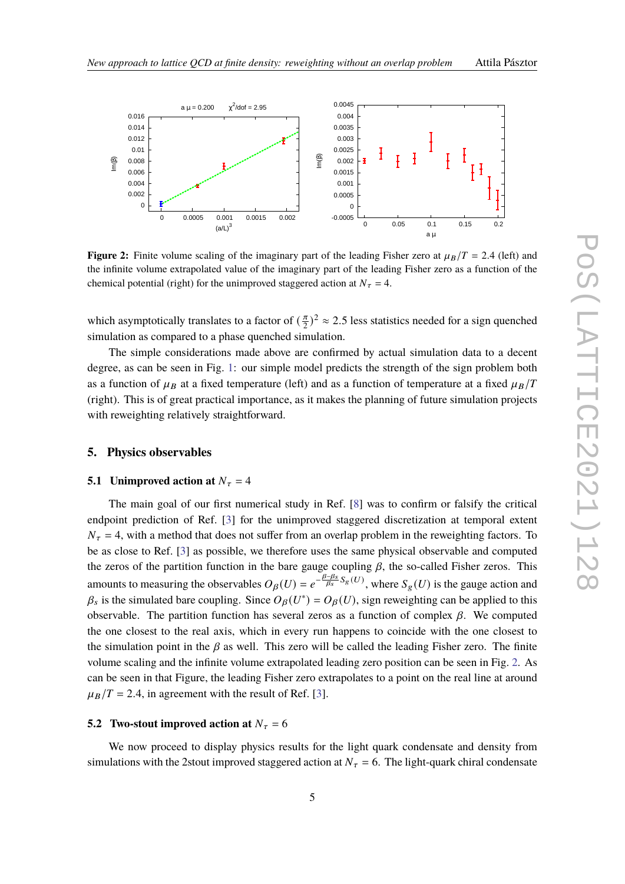<span id="page-4-0"></span>

**Figure 2:** Finite volume scaling of the imaginary part of the leading Fisher zero at  $\mu_B/T = 2.4$  (left) and the infinite volume extrapolated value of the imaginary part of the leading Fisher zero as a function of the chemical potential (right) for the unimproved staggered action at  $N_{\tau} = 4$ .

which asymptotically translates to a factor of  $(\frac{\pi}{2})$  $\frac{\pi}{2}$ )<sup>2</sup>  $\approx$  2.5 less statistics needed for a sign quenched simulation as compared to a phase quenched simulation.

The simple considerations made above are confirmed by actual simulation data to a decent degree, as can be seen in Fig. [1:](#page-3-0) our simple model predicts the strength of the sign problem both as a function of  $\mu_B$  at a fixed temperature (left) and as a function of temperature at a fixed  $\mu_B/T$ (right). This is of great practical importance, as it makes the planning of future simulation projects with reweighting relatively straightforward.

#### **5. Physics observables**

#### **5.1 Unimproved action at**  $N_{\tau} = 4$

The main goal of our first numerical study in Ref. [\[8\]](#page-7-4) was to confirm or falsify the critical endpoint prediction of Ref. [\[3\]](#page-7-5) for the unimproved staggered discretization at temporal extent  $N_{\tau} = 4$ , with a method that does not suffer from an overlap problem in the reweighting factors. To be as close to Ref. [\[3\]](#page-7-5) as possible, we therefore uses the same physical observable and computed the zeros of the partition function in the bare gauge coupling  $\beta$ , the so-called Fisher zeros. This amounts to measuring the observables  $O_\beta(U) = e^{-\frac{\beta-\beta_s}{\beta_s}S_g(U)}$ , where  $S_g(U)$  is the gauge action and  $\beta_s$  is the simulated bare coupling. Since  $O_\beta(U^*) = O_\beta(U)$ , sign reweighting can be applied to this observable. The partition function has several zeros as a function of complex  $\beta$ . We computed the one closest to the real axis, which in every run happens to coincide with the one closest to the simulation point in the  $\beta$  as well. This zero will be called the leading Fisher zero. The finite volume scaling and the infinite volume extrapolated leading zero position can be seen in Fig. [2.](#page-4-0) As can be seen in that Figure, the leading Fisher zero extrapolates to a point on the real line at around  $\mu_B/T = 2.4$ , in agreement with the result of Ref. [\[3\]](#page-7-5).

#### **5.2** Two-stout improved action at  $N_\tau = 6$

We now proceed to display physics results for the light quark condensate and density from simulations with the 2stout improved staggered action at  $N_{\tau} = 6$ . The light-quark chiral condensate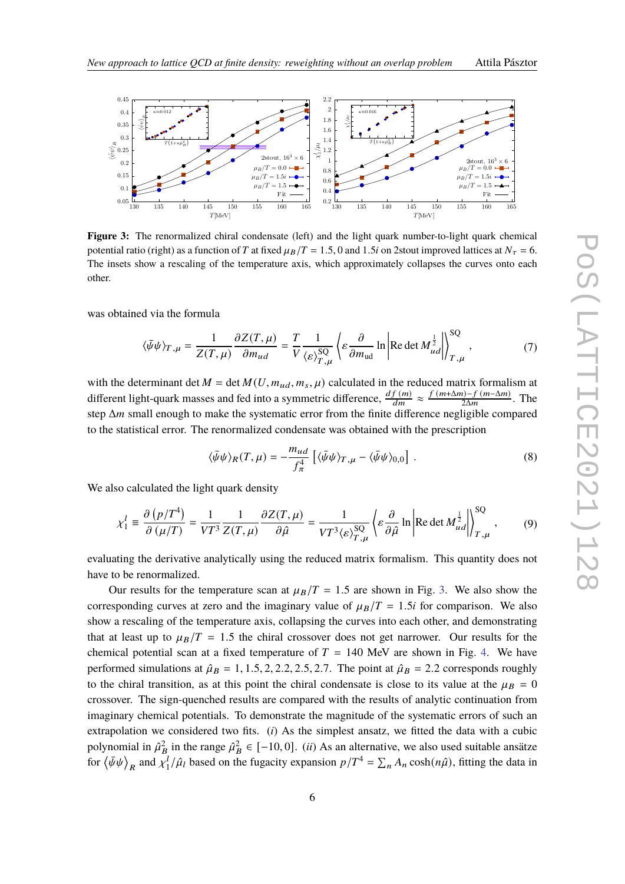<span id="page-5-0"></span>

**Figure 3:** The renormalized chiral condensate (left) and the light quark number-to-light quark chemical potential ratio (right) as a function of T at fixed  $\mu_B/T = 1.5$ , 0 and 1.5*i* on 2stout improved lattices at  $N_\tau = 6$ . The insets show a rescaling of the temperature axis, which approximately collapses the curves onto each other.

was obtained via the formula

$$
\langle \bar{\psi}\psi \rangle_{T,\mu} = \frac{1}{Z(T,\mu)} \frac{\partial Z(T,\mu)}{\partial m_{ud}} = \frac{T}{V} \frac{1}{\langle \varepsilon \rangle_{T,\mu}^{SQ}} \left\langle \varepsilon \frac{\partial}{\partial m_{ud}} \ln \left| \text{Re} \det M_{ud}^{\frac{1}{2}} \right| \right\rangle_{T,\mu}^{SQ},\tag{7}
$$

with the determinant det  $M = \det M(U, m_{ud}, m_s, \mu)$  calculated in the reduced matrix formalism at different light-quark masses and fed into a symmetric difference,  $\frac{df(m)}{dm} \approx \frac{f(m+\Delta m)-f(m-\Delta m)}{2\Delta m}$  $\frac{n-1}{2\Delta m}$ . The step  $\Delta m$  small enough to make the systematic error from the finite difference negligible compared to the statistical error. The renormalized condensate was obtained with the prescription

$$
\langle \bar{\psi}\psi \rangle_R(T,\mu) = -\frac{m_{ud}}{f_\pi^4} \left[ \langle \bar{\psi}\psi \rangle_{T,\mu} - \langle \bar{\psi}\psi \rangle_{0,0} \right] . \tag{8}
$$

We also calculated the light quark density

$$
\chi_1^l \equiv \frac{\partial (p/T^4)}{\partial (\mu/T)} = \frac{1}{VT^3} \frac{1}{Z(T,\mu)} \frac{\partial Z(T,\mu)}{\partial \hat{\mu}} = \frac{1}{VT^3 \langle \varepsilon \rangle_{T,\mu}^{SQ}} \left\langle \varepsilon \frac{\partial}{\partial \hat{\mu}} \ln \left| \text{Re det } M_{ud}^{\frac{1}{2}} \right| \right\rangle_{T,\mu}^{SQ}, \tag{9}
$$

evaluating the derivative analytically using the reduced matrix formalism. This quantity does not have to be renormalized.

Our results for the temperature scan at  $\mu_B/T = 1.5$  are shown in Fig. [3.](#page-5-0) We also show the corresponding curves at zero and the imaginary value of  $\mu_B/T = 1.5i$  for comparison. We also show a rescaling of the temperature axis, collapsing the curves into each other, and demonstrating that at least up to  $\mu_B/T = 1.5$  the chiral crossover does not get narrower. Our results for the chemical potential scan at a fixed temperature of  $T = 140$  MeV are shown in Fig. [4.](#page-6-0) We have performed simulations at  $\hat{\mu}_B = 1, 1.5, 2, 2.2, 2.5, 2.7$ . The point at  $\hat{\mu}_B = 2.2$  corresponds roughly to the chiral transition, as at this point the chiral condensate is close to its value at the  $\mu_B = 0$ crossover. The sign-quenched results are compared with the results of analytic continuation from imaginary chemical potentials. To demonstrate the magnitude of the systematic errors of such an extrapolation we considered two fits. (*i*) As the simplest ansatz, we fitted the data with a cubic polynomial in  $\hat{\mu}^2_B$  in the range  $\hat{\mu}^2_B \in [-10, 0]$ . *(ii)* As an alternative, we also used suitable ansätze for  $\langle \bar{\psi}\psi \rangle_R$  and  $\chi_1^{\tilde{l}}$  $\int_1^l/\hat{\mu}_l$  based on the fugacity expansion  $p/T^4 = \sum_n A_n \cosh(n\hat{\mu})$ , fitting the data in

 $\sim$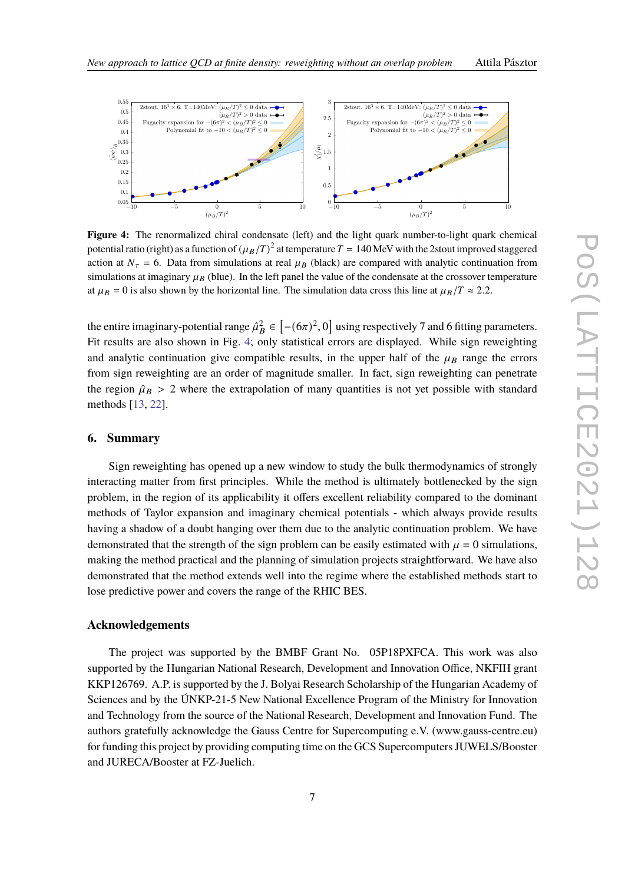<span id="page-6-0"></span>

**Figure 4:** The renormalized chiral condensate (left) and the light quark number-to-light quark chemical potential ratio (right) as a function of  $(\mu_B/T)^2$  at temperature  $T=140$  MeV with the 2stout improved staggered action at  $N_{\tau} = 6$ . Data from simulations at real  $\mu_B$  (black) are compared with analytic continuation from simulations at imaginary  $\mu_B$  (blue). In the left panel the value of the condensate at the crossover temperature at  $\mu_B = 0$  is also shown by the horizontal line. The simulation data cross this line at  $\mu_B/T \approx 2.2$ .

the entire imaginary-potential range  $\hat{\mu}^2_B \in \left[-(6\pi)^2, 0\right]$  using respectively 7 and 6 fitting parameters. Fit results are also shown in Fig. [4;](#page-6-0) only statistical errors are displayed. While sign reweighting and analytic continuation give compatible results, in the upper half of the  $\mu_B$  range the errors from sign reweighting are an order of magnitude smaller. In fact, sign reweighting can penetrate the region  $\hat{\mu}_B > 2$  where the extrapolation of many quantities is not yet possible with standard methods [\[13,](#page-7-7) [22\]](#page-8-7).

### **6. Summary**

Sign reweighting has opened up a new window to study the bulk thermodynamics of strongly interacting matter from first principles. While the method is ultimately bottlenecked by the sign problem, in the region of its applicability it offers excellent reliability compared to the dominant methods of Taylor expansion and imaginary chemical potentials - which always provide results having a shadow of a doubt hanging over them due to the analytic continuation problem. We have demonstrated that the strength of the sign problem can be easily estimated with  $\mu = 0$  simulations, making the method practical and the planning of simulation projects straightforward. We have also demonstrated that the method extends well into the regime where the established methods start to lose predictive power and covers the range of the RHIC BES.

# **Acknowledgements**

The project was supported by the BMBF Grant No. 05P18PXFCA. This work was also supported by the Hungarian National Research, Development and Innovation Office, NKFIH grant KKP126769. A.P. is supported by the J. Bolyai Research Scholarship of the Hungarian Academy of Sciences and by the ÚNKP-21-5 New National Excellence Program of the Ministry for Innovation and Technology from the source of the National Research, Development and Innovation Fund. The authors gratefully acknowledge the Gauss Centre for Supercomputing e.V. (www.gauss-centre.eu) for funding this project by providing computing time on the GCS Supercomputers JUWELS/Booster and JURECA/Booster at FZ-Juelich.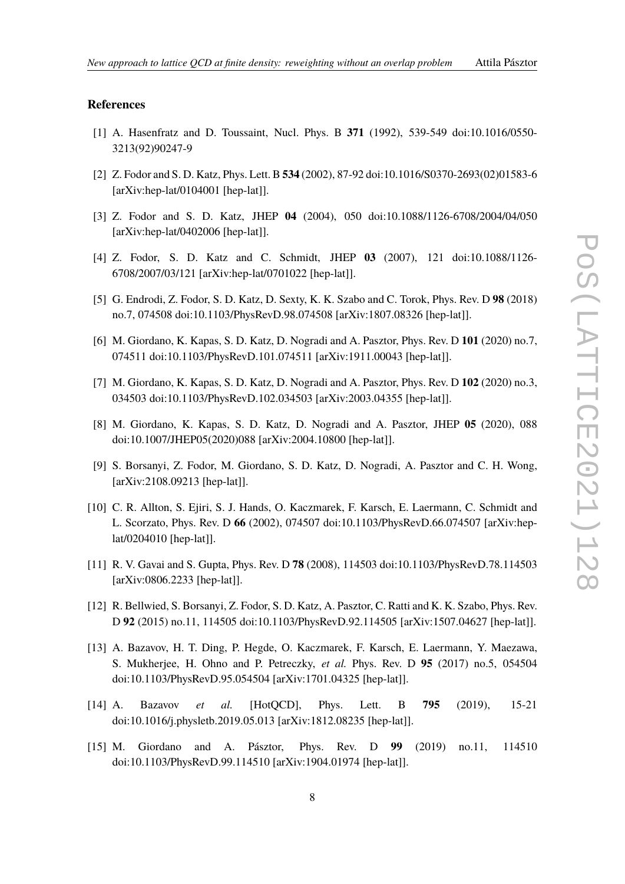# **References**

- <span id="page-7-0"></span>[1] A. Hasenfratz and D. Toussaint, Nucl. Phys. B **371** (1992), 539-549 doi:10.1016/0550- 3213(92)90247-9
- [2] Z. Fodor and S. D. Katz, Phys. Lett. B **534** (2002), 87-92 doi:10.1016/S0370-2693(02)01583-6 [arXiv:hep-lat/0104001 [hep-lat]].
- <span id="page-7-5"></span>[3] Z. Fodor and S. D. Katz, JHEP **04** (2004), 050 doi:10.1088/1126-6708/2004/04/050 [arXiv:hep-lat/0402006 [hep-lat]].
- [4] Z. Fodor, S. D. Katz and C. Schmidt, JHEP **03** (2007), 121 doi:10.1088/1126- 6708/2007/03/121 [arXiv:hep-lat/0701022 [hep-lat]].
- [5] G. Endrodi, Z. Fodor, S. D. Katz, D. Sexty, K. K. Szabo and C. Torok, Phys. Rev. D **98** (2018) no.7, 074508 doi:10.1103/PhysRevD.98.074508 [arXiv:1807.08326 [hep-lat]].
- [6] M. Giordano, K. Kapas, S. D. Katz, D. Nogradi and A. Pasztor, Phys. Rev. D **101** (2020) no.7, 074511 doi:10.1103/PhysRevD.101.074511 [arXiv:1911.00043 [hep-lat]].
- <span id="page-7-6"></span>[7] M. Giordano, K. Kapas, S. D. Katz, D. Nogradi and A. Pasztor, Phys. Rev. D **102** (2020) no.3, 034503 doi:10.1103/PhysRevD.102.034503 [arXiv:2003.04355 [hep-lat]].
- <span id="page-7-4"></span>[8] M. Giordano, K. Kapas, S. D. Katz, D. Nogradi and A. Pasztor, JHEP **05** (2020), 088 doi:10.1007/JHEP05(2020)088 [arXiv:2004.10800 [hep-lat]].
- <span id="page-7-1"></span>[9] S. Borsanyi, Z. Fodor, M. Giordano, S. D. Katz, D. Nogradi, A. Pasztor and C. H. Wong, [arXiv:2108.09213 [hep-lat]].
- <span id="page-7-2"></span>[10] C. R. Allton, S. Ejiri, S. J. Hands, O. Kaczmarek, F. Karsch, E. Laermann, C. Schmidt and L. Scorzato, Phys. Rev. D **66** (2002), 074507 doi:10.1103/PhysRevD.66.074507 [arXiv:heplat/0204010 [hep-lat]].
- [11] R. V. Gavai and S. Gupta, Phys. Rev. D **78** (2008), 114503 doi:10.1103/PhysRevD.78.114503 [arXiv:0806.2233 [hep-lat]].
- [12] R. Bellwied, S. Borsanyi, Z. Fodor, S. D. Katz, A. Pasztor, C. Ratti and K. K. Szabo, Phys. Rev. D **92** (2015) no.11, 114505 doi:10.1103/PhysRevD.92.114505 [arXiv:1507.04627 [hep-lat]].
- <span id="page-7-7"></span>[13] A. Bazavov, H. T. Ding, P. Hegde, O. Kaczmarek, F. Karsch, E. Laermann, Y. Maezawa, S. Mukherjee, H. Ohno and P. Petreczky, *et al.* Phys. Rev. D **95** (2017) no.5, 054504 doi:10.1103/PhysRevD.95.054504 [arXiv:1701.04325 [hep-lat]].
- [14] A. Bazavov *et al.* [HotQCD], Phys. Lett. B **795** (2019), 15-21 doi:10.1016/j.physletb.2019.05.013 [arXiv:1812.08235 [hep-lat]].
- <span id="page-7-3"></span>[15] M. Giordano and A. Pásztor, Phys. Rev. D **99** (2019) no.11, 114510 doi:10.1103/PhysRevD.99.114510 [arXiv:1904.01974 [hep-lat]].